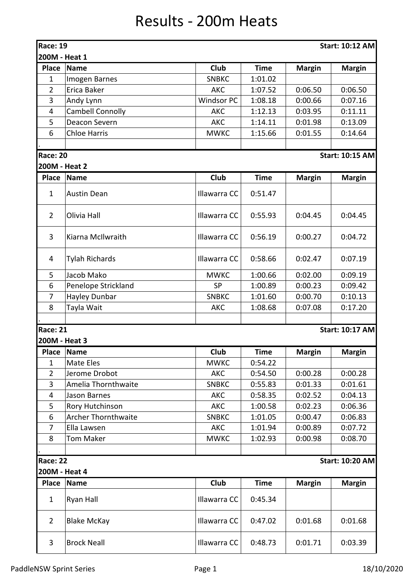## Results - 200m Heats

| <b>Race: 19</b><br>200M - Heat 1 |                            |                   |             |               | <b>Start: 10:12 AM</b> |
|----------------------------------|----------------------------|-------------------|-------------|---------------|------------------------|
| <b>Place</b>                     | <b>Name</b>                | Club              | <b>Time</b> | <b>Margin</b> | <b>Margin</b>          |
| $\mathbf{1}$                     | Imogen Barnes              | <b>SNBKC</b>      | 1:01.02     |               |                        |
| $\overline{2}$                   | Erica Baker                | <b>AKC</b>        | 1:07.52     | 0:06.50       | 0:06.50                |
| 3                                | Andy Lynn                  | <b>Windsor PC</b> | 1:08.18     | 0:00.66       | 0:07.16                |
| 4                                | <b>Cambell Connolly</b>    | <b>AKC</b>        | 1:12.13     | 0:03.95       | 0:11.11                |
| 5                                | Deacon Severn              | <b>AKC</b>        | 1:14.11     | 0:01.98       | 0:13.09                |
| 6                                | <b>Chloe Harris</b>        | <b>MWKC</b>       | 1:15.66     | 0:01.55       | 0:14.64                |
| <b>Race: 20</b>                  |                            |                   |             |               | <b>Start: 10:15 AM</b> |
| 200M - Heat 2                    |                            |                   |             |               |                        |
| <b>Place</b>                     | <b>Name</b>                | Club              | <b>Time</b> | <b>Margin</b> | <b>Margin</b>          |
| $\mathbf{1}$                     | <b>Austin Dean</b>         | Illawarra CC      | 0:51.47     |               |                        |
| $\overline{2}$                   | Olivia Hall                | Illawarra CC      | 0:55.93     | 0:04.45       | 0:04.45                |
| 3                                | Kiarna McIlwraith          | Illawarra CC      | 0:56.19     | 0:00.27       | 0:04.72                |
| 4                                | <b>Tylah Richards</b>      | Illawarra CC      | 0:58.66     | 0:02.47       | 0:07.19                |
| 5                                | Jacob Mako                 | <b>MWKC</b>       | 1:00.66     | 0:02.00       | 0:09.19                |
| 6                                | Penelope Strickland        | SP                | 1:00.89     | 0:00.23       | 0:09.42                |
| 7                                | Hayley Dunbar              | <b>SNBKC</b>      | 1:01.60     | 0:00.70       | 0:10.13                |
| 8                                | Tayla Wait                 | <b>AKC</b>        | 1:08.68     | 0:07.08       | 0:17.20                |
|                                  |                            |                   |             |               |                        |
| Race: 21<br>200M - Heat 3        |                            |                   |             |               | <b>Start: 10:17 AM</b> |
| <b>Place</b>                     | <b>Name</b>                | Club              | <b>Time</b> | <b>Margin</b> | <b>Margin</b>          |
| $\mathbf{1}$                     | Mate Eles                  | <b>MWKC</b>       | 0:54.22     |               |                        |
| $\overline{2}$                   | Jerome Drobot              | AKC               | 0:54.50     | 0:00.28       | 0:00.28                |
| 3                                | Amelia Thornthwaite        | <b>SNBKC</b>      | 0:55.83     | 0:01.33       | 0:01.61                |
| 4                                | Jason Barnes               | <b>AKC</b>        | 0:58.35     | 0:02.52       | 0:04.13                |
| 5                                | Rory Hutchinson            | AKC               | 1:00.58     | 0:02.23       | 0:06.36                |
| 6                                | <b>Archer Thornthwaite</b> | <b>SNBKC</b>      | 1:01.05     | 0:00.47       | 0:06.83                |
| $\overline{7}$                   | Ella Lawsen                | AKC               | 1:01.94     | 0:00.89       | 0:07.72                |
| 8                                | <b>Tom Maker</b>           | <b>MWKC</b>       | 1:02.93     | 0:00.98       | 0:08.70                |
| Race: 22                         |                            |                   |             |               | <b>Start: 10:20 AM</b> |
| 200M - Heat 4                    |                            |                   |             |               |                        |
| <b>Place</b>                     | <b>Name</b>                | Club              | <b>Time</b> | <b>Margin</b> | <b>Margin</b>          |
| $\mathbf{1}$                     | Ryan Hall                  | Illawarra CC      | 0:45.34     |               |                        |
| $\overline{2}$                   | <b>Blake McKay</b>         | Illawarra CC      | 0:47.02     | 0:01.68       | 0:01.68                |
| 3                                | <b>Brock Neall</b>         | Illawarra CC      | 0:48.73     | 0:01.71       | 0:03.39                |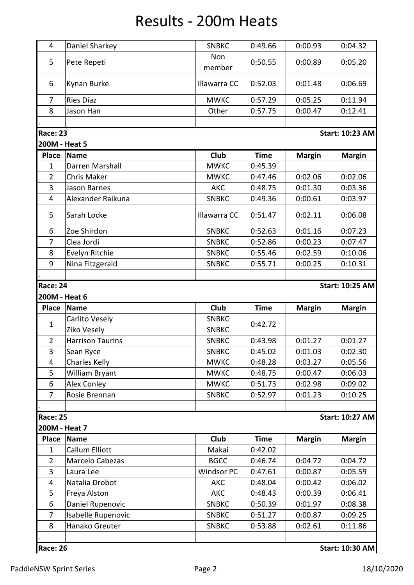## Results - 200m Heats

| 4                       | Daniel Sharkey          | <b>SNBKC</b> | 0:49.66     | 0:00.93       | 0:04.32                |
|-------------------------|-------------------------|--------------|-------------|---------------|------------------------|
| 5                       | Pete Repeti             | Non          | 0:50.55     | 0:00.89       | 0:05.20                |
|                         |                         | member       |             |               |                        |
| 6                       | Kynan Burke             | Illawarra CC | 0:52.03     | 0:01.48       | 0:06.69                |
| $\overline{7}$          | <b>Ries Diaz</b>        | <b>MWKC</b>  | 0:57.29     | 0:05.25       | 0:11.94                |
| 8                       | Jason Han               | Other        | 0:57.75     | 0:00.47       | 0:12.41                |
|                         |                         |              |             |               |                        |
| <b>Race: 23</b>         |                         |              |             |               | <b>Start: 10:23 AM</b> |
| 200M - Heat 5           |                         |              |             |               |                        |
| <b>Place</b>            | <b>Name</b>             | Club         | <b>Time</b> | <b>Margin</b> | <b>Margin</b>          |
| $\mathbf{1}$            | Darren Marshall         | <b>MWKC</b>  | 0:45.39     |               |                        |
| $\overline{2}$          | <b>Chris Maker</b>      | <b>MWKC</b>  | 0:47.46     | 0:02.06       | 0:02.06                |
| 3                       | Jason Barnes            | <b>AKC</b>   | 0:48.75     | 0:01.30       | 0:03.36                |
| $\overline{\mathbf{4}}$ | Alexander Raikuna       | <b>SNBKC</b> | 0:49.36     | 0:00.61       | 0:03.97                |
| 5                       | Sarah Locke             | Illawarra CC | 0:51.47     | 0:02.11       | 0:06.08                |
| 6                       | Zoe Shirdon             | <b>SNBKC</b> | 0:52.63     | 0:01.16       | 0:07.23                |
| 7                       | Clea Jordi              | <b>SNBKC</b> | 0:52.86     | 0:00.23       | 0:07.47                |
| 8                       | Evelyn Ritchie          | <b>SNBKC</b> | 0:55.46     | 0:02.59       | 0:10.06                |
| 9                       | Nina Fitzgerald         | <b>SNBKC</b> | 0:55.71     | 0:00.25       | 0:10.31                |
|                         |                         |              |             |               |                        |
| <b>Race: 24</b>         |                         |              |             |               | <b>Start: 10:25 AM</b> |
| 200M - Heat 6           |                         |              |             |               |                        |
| <b>Place</b>            | <b>Name</b>             | Club         | <b>Time</b> | <b>Margin</b> | <b>Margin</b>          |
|                         | Carlito Vesely          | <b>SNBKC</b> |             |               |                        |
| $\mathbf{1}$            | Ziko Vesely             | <b>SNBKC</b> | 0:42.72     |               |                        |
| $\overline{2}$          | <b>Harrison Taurins</b> | <b>SNBKC</b> | 0:43.98     | 0:01.27       | 0:01.27                |
| 3                       | Sean Ryce               | <b>SNBKC</b> | 0:45.02     | 0:01.03       | 0:02.30                |
| 4                       | <b>Charles Kelly</b>    | <b>MWKC</b>  | 0:48.28     | 0:03.27       | 0:05.56                |
| 5                       | William Bryant          | <b>MWKC</b>  | 0:48.75     | 0:00.47       | 0:06.03                |
| 6                       | <b>Alex Conley</b>      | <b>MWKC</b>  | 0:51.73     | 0:02.98       | 0:09.02                |
| $\overline{7}$          | Rosie Brennan           | <b>SNBKC</b> | 0:52.97     | 0:01.23       | 0:10.25                |
| <b>Race: 25</b>         |                         |              |             |               | <b>Start: 10:27 AM</b> |
| 200M - Heat 7           |                         |              |             |               |                        |
| <b>Place</b>            | <b>Name</b>             | Club         | <b>Time</b> | <b>Margin</b> | <b>Margin</b>          |
| $\mathbf{1}$            | <b>Callum Elliott</b>   | Makai        | 0:42.02     |               |                        |
| $\overline{2}$          | Marcelo Cabezas         | <b>BGCC</b>  | 0:46.74     | 0:04.72       | 0:04.72                |
| 3                       | Laura Lee               | Windsor PC   | 0:47.61     | 0:00.87       | 0:05.59                |
| 4                       | Natalia Drobot          | AKC          | 0:48.04     | 0:00.42       | 0:06.02                |
| 5                       | Freya Alston            | <b>AKC</b>   | 0:48.43     | 0:00.39       | 0:06.41                |
| 6                       | Daniel Rupenovic        | <b>SNBKC</b> | 0:50.39     | 0:01.97       | 0:08.38                |
| 7                       | Isabelle Rupenovic      | <b>SNBKC</b> | 0:51.27     | 0:00.87       | 0:09.25                |
| 8                       | Hanako Greuter          | <b>SNBKC</b> | 0:53.88     | 0:02.61       | 0:11.86                |
|                         |                         |              |             |               |                        |
| <b>Race: 26</b>         |                         |              |             |               | <b>Start: 10:30 AM</b> |
|                         |                         |              |             |               |                        |